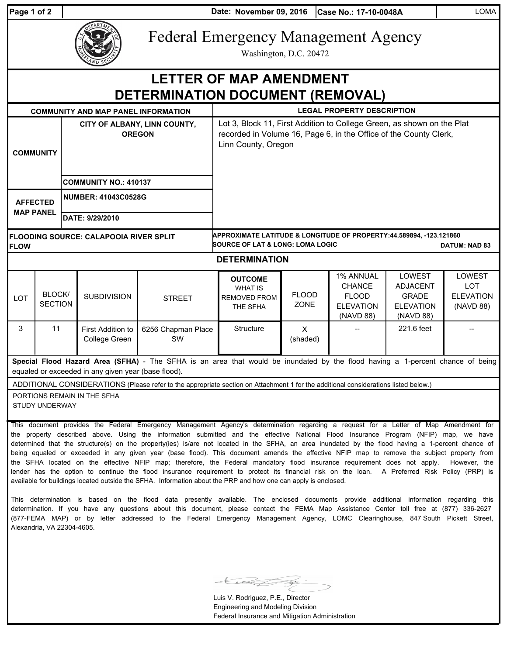| Page 1 of 2 |  |  |
|-------------|--|--|
|             |  |  |

**Date: Case No.: 17-10-0048A** LOMA **Page 1 of 2 November 09, 2016**

| ARTME<br>ç. |
|-------------|
| SE<br>ΙĐ    |

Federal Emergency Management Agency

Washington, D.C. 20472

|                                                                           |                                                                                                                                                                                  |                                               | AND SECTION                                         |                                                                                                                                                                                                                                                                                                                                                                                                                                   |                                                                     |                      |                                                                             |                                                                            |                                                       |
|---------------------------------------------------------------------------|----------------------------------------------------------------------------------------------------------------------------------------------------------------------------------|-----------------------------------------------|-----------------------------------------------------|-----------------------------------------------------------------------------------------------------------------------------------------------------------------------------------------------------------------------------------------------------------------------------------------------------------------------------------------------------------------------------------------------------------------------------------|---------------------------------------------------------------------|----------------------|-----------------------------------------------------------------------------|----------------------------------------------------------------------------|-------------------------------------------------------|
| <b>LETTER OF MAP AMENDMENT</b><br><b>DETERMINATION DOCUMENT (REMOVAL)</b> |                                                                                                                                                                                  |                                               |                                                     |                                                                                                                                                                                                                                                                                                                                                                                                                                   |                                                                     |                      |                                                                             |                                                                            |                                                       |
|                                                                           | <b>COMMUNITY AND MAP PANEL INFORMATION</b>                                                                                                                                       |                                               |                                                     |                                                                                                                                                                                                                                                                                                                                                                                                                                   | <b>LEGAL PROPERTY DESCRIPTION</b>                                   |                      |                                                                             |                                                                            |                                                       |
| <b>COMMUNITY</b>                                                          |                                                                                                                                                                                  | CITY OF ALBANY, LINN COUNTY,<br><b>OREGON</b> |                                                     | Lot 3, Block 11, First Addition to College Green, as shown on the Plat<br>recorded in Volume 16, Page 6, in the Office of the County Clerk,<br>Linn County, Oregon                                                                                                                                                                                                                                                                |                                                                     |                      |                                                                             |                                                                            |                                                       |
|                                                                           |                                                                                                                                                                                  | <b>COMMUNITY NO.: 410137</b>                  |                                                     |                                                                                                                                                                                                                                                                                                                                                                                                                                   |                                                                     |                      |                                                                             |                                                                            |                                                       |
| <b>AFFECTED</b>                                                           |                                                                                                                                                                                  |                                               | <b>NUMBER: 41043C0528G</b>                          |                                                                                                                                                                                                                                                                                                                                                                                                                                   |                                                                     |                      |                                                                             |                                                                            |                                                       |
| <b>MAP PANEL</b>                                                          |                                                                                                                                                                                  |                                               | DATE: 9/29/2010                                     |                                                                                                                                                                                                                                                                                                                                                                                                                                   |                                                                     |                      |                                                                             |                                                                            |                                                       |
| <b>FLOW</b>                                                               | APPROXIMATE LATITUDE & LONGITUDE OF PROPERTY:44.589894, -123.121860<br><b>FLOODING SOURCE: CALAPOOIA RIVER SPLIT</b><br>SOURCE OF LAT & LONG: LOMA LOGIC<br><b>DATUM: NAD 83</b> |                                               |                                                     |                                                                                                                                                                                                                                                                                                                                                                                                                                   |                                                                     |                      |                                                                             |                                                                            |                                                       |
|                                                                           |                                                                                                                                                                                  |                                               |                                                     |                                                                                                                                                                                                                                                                                                                                                                                                                                   | <b>DETERMINATION</b>                                                |                      |                                                                             |                                                                            |                                                       |
| <b>LOT</b>                                                                | BLOCK/<br><b>SECTION</b>                                                                                                                                                         |                                               | <b>SUBDIVISION</b>                                  | <b>STREET</b>                                                                                                                                                                                                                                                                                                                                                                                                                     | <b>OUTCOME</b><br><b>WHAT IS</b><br><b>REMOVED FROM</b><br>THE SFHA | <b>FLOOD</b><br>ZONE | 1% ANNUAL<br><b>CHANCE</b><br><b>FLOOD</b><br><b>ELEVATION</b><br>(NAVD 88) | LOWEST<br><b>ADJACENT</b><br><b>GRADE</b><br><b>ELEVATION</b><br>(NAVD 88) | LOWEST<br><b>LOT</b><br><b>ELEVATION</b><br>(NAVD 88) |
| 3                                                                         | 11                                                                                                                                                                               |                                               | First Addition to<br>College Green                  | 6256 Chapman Place<br>SW                                                                                                                                                                                                                                                                                                                                                                                                          | Structure                                                           | X<br>(shaded)        |                                                                             | 221.6 feet                                                                 |                                                       |
|                                                                           |                                                                                                                                                                                  |                                               | equaled or exceeded in any given year (base flood). | Special Flood Hazard Area (SFHA) - The SFHA is an area that would be inundated by the flood having a 1-percent chance of being                                                                                                                                                                                                                                                                                                    |                                                                     |                      |                                                                             |                                                                            |                                                       |
|                                                                           | STUDY UNDERWAY                                                                                                                                                                   |                                               | PORTIONS REMAIN IN THE SFHA                         | ADDITIONAL CONSIDERATIONS (Please refer to the appropriate section on Attachment 1 for the additional considerations listed below.)                                                                                                                                                                                                                                                                                               |                                                                     |                      |                                                                             |                                                                            |                                                       |
|                                                                           |                                                                                                                                                                                  |                                               |                                                     | This document provides the Federal Emergency Management Agency's determination regarding a request for a Letter of Map Amendment for<br>the property described above. Using the information submitted and the effective National Flood Insurance Program (NFIP) map, we have<br>determined that the structure(s) on the property(ies) is/are not located in the SFHA, an area inundated by the flood having a 1-percent chance of |                                                                     |                      |                                                                             |                                                                            |                                                       |

being equaled or exceeded in any given year (base flood). This document amends the effective NFIP map to remove the subject property from the SFHA located on the effective NFIP map; therefore, the Federal mandatory flood insurance requirement does not apply. However, the lender has the option to continue the flood insurance requirement to protect its financial risk on the loan. A Preferred Risk Policy (PRP) is available for buildings located outside the SFHA. Information about the PRP and how one can apply is enclosed.

This determination is based on the flood data presently available. The enclosed documents provide additional information regarding this determination. If you have any questions about this document, please contact the FEMA Map Assistance Center toll free at (877) 336-2627 (877-FEMA MAP) or by letter addressed to the Federal Emergency Management Agency, LOMC Clearinghouse, 847 South Pickett Street, Alexandria, VA 22304-4605.

 $\,\,\leqslant\,$ 

Luis V. Rodriguez, P.E., Director Engineering and Modeling Division Federal Insurance and Mitigation Administration